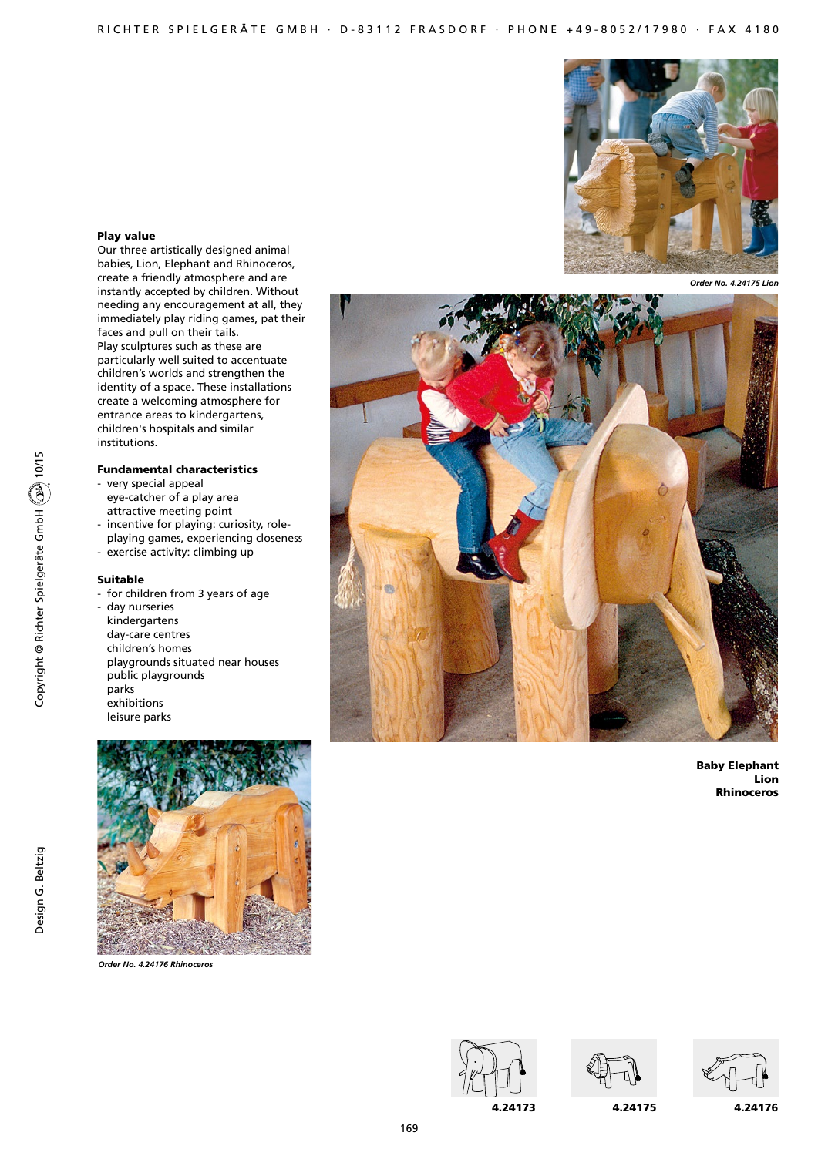

#### *Order No. 4.24175 Lion*



Baby Elephant Lion Rhinoceros



Our three artistically designed animal babies, Lion, Elephant and Rhinoceros, create a friendly atmosphere and are instantly accepted by children. Without needing any encouragement at all, they immediately play riding games, pat their faces and pull on their tails. Play sculptures such as these are particularly well suited to accentuate children's worlds and strengthen the identity of a space. These installations create a welcoming atmosphere for entrance areas to kindergartens, children's hospitals and similar institutions.

#### Fundamental characteristics

- very special appeal eye-catcher of a play area attractive meeting point
- incentive for playing: curiosity, roleplaying games, experiencing closeness
- exercise activity: climbing up

# Suitable

- for children from 3 years of age
- day nurseries kindergartens
- day-care centres
	- children's homes playgrounds situated near houses public playgrounds parks exhibitions leisure parks



*Order No. 4.24176 Rhinoceros*







4.24175 4.24176